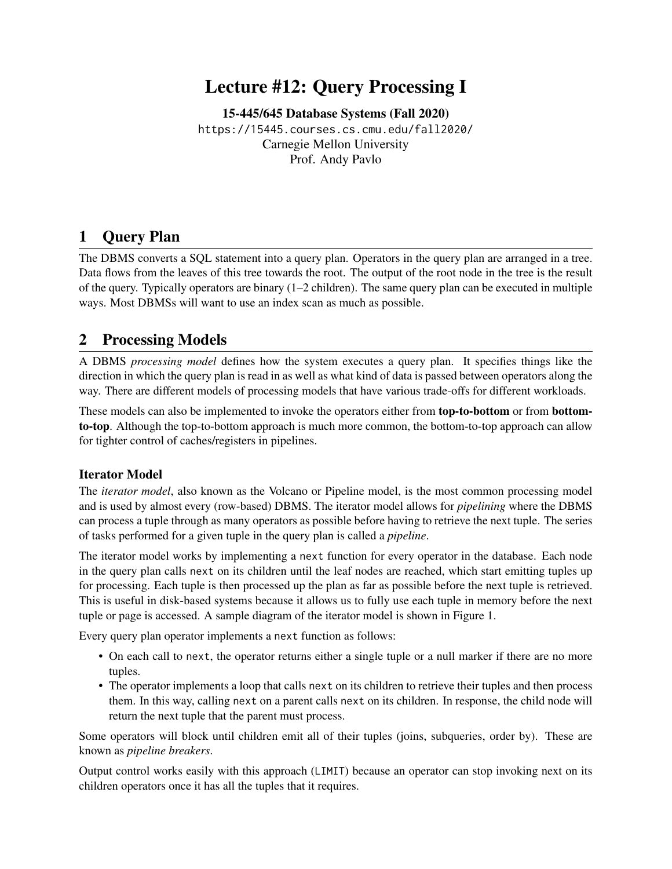# Lecture #12: Query Processing I

[15-445/645 Database Systems \(Fall 2020\)](https://15445.courses.cs.cmu.edu/fall2020/) <https://15445.courses.cs.cmu.edu/fall2020/> Carnegie Mellon University [Prof. Andy Pavlo](http://www.cs.cmu.edu/~pavlo/)

### 1 Query Plan

The DBMS converts a SQL statement into a query plan. Operators in the query plan are arranged in a tree. Data flows from the leaves of this tree towards the root. The output of the root node in the tree is the result of the query. Typically operators are binary (1–2 children). The same query plan can be executed in multiple ways. Most DBMSs will want to use an index scan as much as possible.

### 2 Processing Models

A DBMS *processing model* defines how the system executes a query plan. It specifies things like the direction in which the query plan is read in as well as what kind of data is passed between operators along the way. There are different models of processing models that have various trade-offs for different workloads.

These models can also be implemented to invoke the operators either from top-to-bottom or from bottomto-top. Although the top-to-bottom approach is much more common, the bottom-to-top approach can allow for tighter control of caches/registers in pipelines.

#### Iterator Model

The *iterator model*, also known as the Volcano or Pipeline model, is the most common processing model and is used by almost every (row-based) DBMS. The iterator model allows for *pipelining* where the DBMS can process a tuple through as many operators as possible before having to retrieve the next tuple. The series of tasks performed for a given tuple in the query plan is called a *pipeline*.

The iterator model works by implementing a next function for every operator in the database. Each node in the query plan calls next on its children until the leaf nodes are reached, which start emitting tuples up for processing. Each tuple is then processed up the plan as far as possible before the next tuple is retrieved. This is useful in disk-based systems because it allows us to fully use each tuple in memory before the next tuple or page is accessed. A sample diagram of the iterator model is shown in [Figure 1.](#page-1-0)

Every query plan operator implements a next function as follows:

- On each call to next, the operator returns either a single tuple or a null marker if there are no more tuples.
- The operator implements a loop that calls next on its children to retrieve their tuples and then process them. In this way, calling next on a parent calls next on its children. In response, the child node will return the next tuple that the parent must process.

Some operators will block until children emit all of their tuples (joins, subqueries, order by). These are known as *pipeline breakers*.

Output control works easily with this approach (LIMIT) because an operator can stop invoking next on its children operators once it has all the tuples that it requires.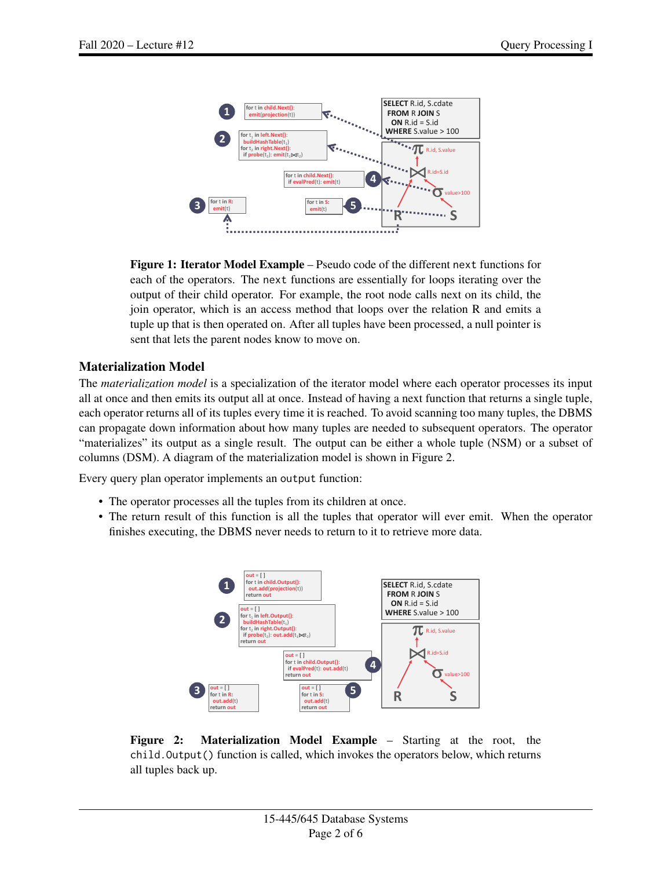<span id="page-1-0"></span>

Figure 1: Iterator Model Example – Pseudo code of the different next functions for each of the operators. The next functions are essentially for loops iterating over the output of their child operator. For example, the root node calls next on its child, the join operator, which is an access method that loops over the relation R and emits a tuple up that is then operated on. After all tuples have been processed, a null pointer is sent that lets the parent nodes know to move on.

### Materialization Model

The *materialization model* is a specialization of the iterator model where each operator processes its input all at once and then emits its output all at once. Instead of having a next function that returns a single tuple, each operator returns all of its tuples every time it is reached. To avoid scanning too many tuples, the DBMS can propagate down information about how many tuples are needed to subsequent operators. The operator "materializes" its output as a single result. The output can be either a whole tuple (NSM) or a subset of columns (DSM). A diagram of the materialization model is shown in [Figure 2.](#page-1-1)

Every query plan operator implements an output function:

- The operator processes all the tuples from its children at once.
- <span id="page-1-1"></span>• The return result of this function is all the tuples that operator will ever emit. When the operator finishes executing, the DBMS never needs to return to it to retrieve more data.



Figure 2: Materialization Model Example – Starting at the root, the child.Output() function is called, which invokes the operators below, which returns all tuples back up.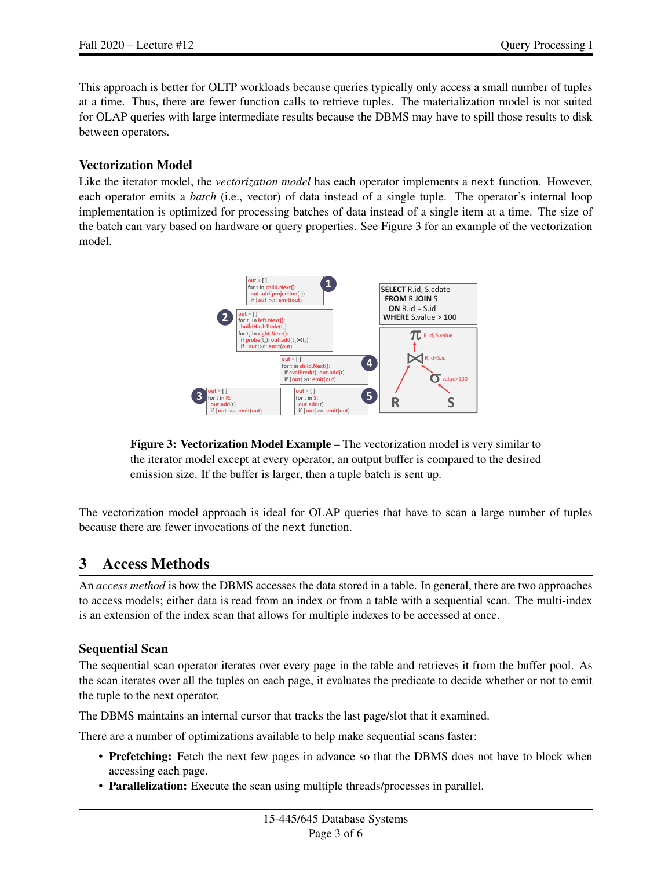This approach is better for OLTP workloads because queries typically only access a small number of tuples at a time. Thus, there are fewer function calls to retrieve tuples. The materialization model is not suited for OLAP queries with large intermediate results because the DBMS may have to spill those results to disk between operators.

#### Vectorization Model

<span id="page-2-0"></span>Like the iterator model, the *vectorization model* has each operator implements a next function. However, each operator emits a *batch* (i.e., vector) of data instead of a single tuple. The operator's internal loop implementation is optimized for processing batches of data instead of a single item at a time. The size of the batch can vary based on hardware or query properties. See [Figure 3](#page-2-0) for an example of the vectorization model.



Figure 3: Vectorization Model Example – The vectorization model is very similar to the iterator model except at every operator, an output buffer is compared to the desired emission size. If the buffer is larger, then a tuple batch is sent up.

The vectorization model approach is ideal for OLAP queries that have to scan a large number of tuples because there are fewer invocations of the next function.

### 3 Access Methods

An *access method* is how the DBMS accesses the data stored in a table. In general, there are two approaches to access models; either data is read from an index or from a table with a sequential scan. The multi-index is an extension of the index scan that allows for multiple indexes to be accessed at once.

#### Sequential Scan

The sequential scan operator iterates over every page in the table and retrieves it from the buffer pool. As the scan iterates over all the tuples on each page, it evaluates the predicate to decide whether or not to emit the tuple to the next operator.

The DBMS maintains an internal cursor that tracks the last page/slot that it examined.

There are a number of optimizations available to help make sequential scans faster:

- Prefetching: Fetch the next few pages in advance so that the DBMS does not have to block when accessing each page.
- Parallelization: Execute the scan using multiple threads/processes in parallel.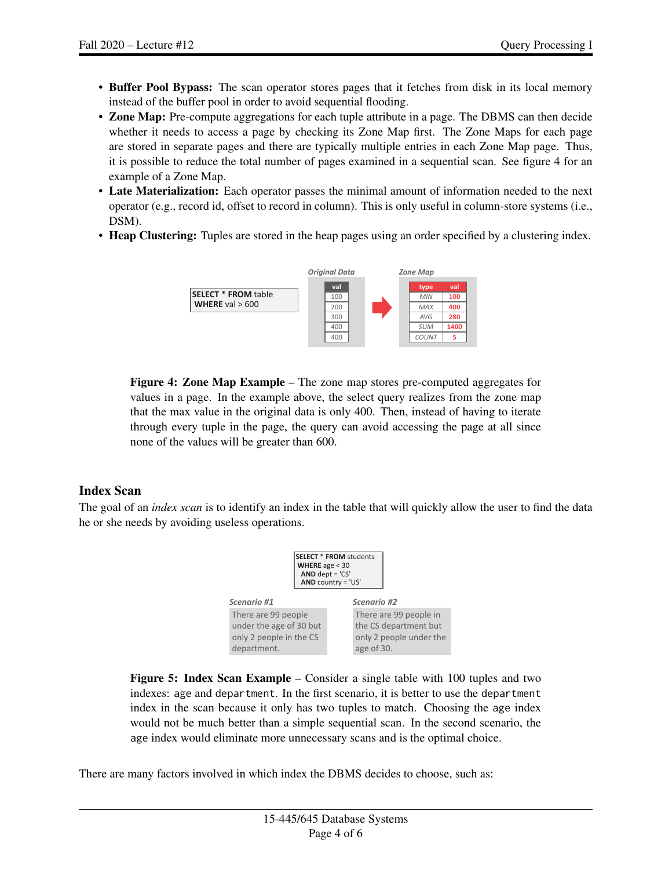- Buffer Pool Bypass: The scan operator stores pages that it fetches from disk in its local memory instead of the buffer pool in order to avoid sequential flooding.
- Zone Map: Pre-compute aggregations for each tuple attribute in a page. The DBMS can then decide whether it needs to access a page by checking its Zone Map first. The Zone Maps for each page are stored in separate pages and there are typically multiple entries in each Zone Map page. Thus, it is possible to reduce the total number of pages examined in a sequential scan. See figure 4 for an example of a Zone Map.
- Late Materialization: Each operator passes the minimal amount of information needed to the next operator (e.g., record id, offset to record in column). This is only useful in column-store systems (i.e., DSM).
- Heap Clustering: Tuples are stored in the heap pages using an order specified by a clustering index.



Figure 4: Zone Map Example – The zone map stores pre-computed aggregates for values in a page. In the example above, the select query realizes from the zone map that the max value in the original data is only 400. Then, instead of having to iterate through every tuple in the page, the query can avoid accessing the page at all since none of the values will be greater than 600.

#### Index Scan

<span id="page-3-0"></span>The goal of an *index scan* is to identify an index in the table that will quickly allow the user to find the data he or she needs by avoiding useless operations.



Figure 5: Index Scan Example – Consider a single table with 100 tuples and two indexes: age and department. In the first scenario, it is better to use the department index in the scan because it only has two tuples to match. Choosing the age index would not be much better than a simple sequential scan. In the second scenario, the age index would eliminate more unnecessary scans and is the optimal choice.

There are many factors involved in which index the DBMS decides to choose, such as: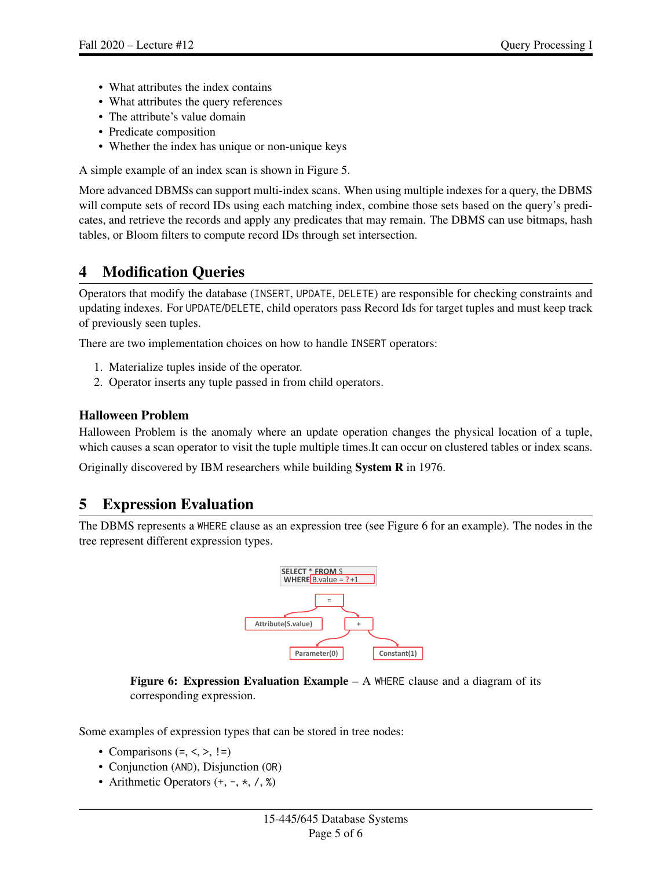- What attributes the index contains
- What attributes the query references
- The attribute's value domain
- Predicate composition
- Whether the index has unique or non-unique keys

A simple example of an index scan is shown in [Figure 5.](#page-3-0)

More advanced DBMSs can support multi-index scans. When using multiple indexes for a query, the DBMS will compute sets of record IDs using each matching index, combine those sets based on the query's predicates, and retrieve the records and apply any predicates that may remain. The DBMS can use bitmaps, hash tables, or Bloom filters to compute record IDs through set intersection.

## 4 Modification Queries

Operators that modify the database (INSERT, UPDATE, DELETE) are responsible for checking constraints and updating indexes. For UPDATE/DELETE, child operators pass Record Ids for target tuples and must keep track of previously seen tuples.

There are two implementation choices on how to handle INSERT operators:

- 1. Materialize tuples inside of the operator.
- 2. Operator inserts any tuple passed in from child operators.

### Halloween Problem

Halloween Problem is the anomaly where an update operation changes the physical location of a tuple, which causes a scan operator to visit the tuple multiple times. It can occur on clustered tables or index scans.

Originally discovered by IBM researchers while building System R in 1976.

### 5 Expression Evaluation

<span id="page-4-0"></span>The DBMS represents a WHERE clause as an expression tree (see [Figure 6](#page-4-0) for an example). The nodes in the 1 tree represent different expression types.



Figure 6: Expression Evaluation Example – A WHERE clause and a diagram of its corresponding expression.

Some examples of expression types that can be stored in tree nodes:

- Comparisons  $(=, <, >, !=)$
- Conjunction (AND), Disjunction (OR)
- Arithmetic Operators  $(+, -, *, /, %)$